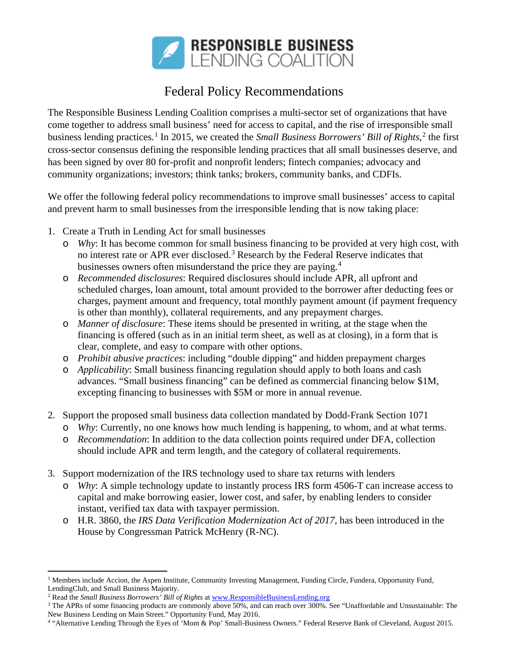

## Federal Policy Recommendations

The Responsible Business Lending Coalition comprises a multi-sector set of organizations that have come together to address small business' need for access to capital, and the rise of irresponsible small business lending practices.<sup>[1](#page-0-0)</sup> In [2](#page-0-1)015, we created the *Small Business Borrowers' Bill of Rights*,<sup>2</sup> the first cross-sector consensus defining the responsible lending practices that all small businesses deserve, and has been signed by over 80 for-profit and nonprofit lenders; fintech companies; advocacy and community organizations; investors; think tanks; brokers, community banks, and CDFIs.

We offer the following federal policy recommendations to improve small businesses' access to capital and prevent harm to small businesses from the irresponsible lending that is now taking place:

- 1. Create a Truth in Lending Act for small businesses
	- o *Why*: It has become common for small business financing to be provided at very high cost, with no interest rate or APR ever disclosed.<sup>[3](#page-0-2)</sup> Research by the Federal Reserve indicates that businesses owners often misunderstand the price they are paying.[4](#page-0-3)
	- o *Recommended disclosures*: Required disclosures should include APR, all upfront and scheduled charges, loan amount, total amount provided to the borrower after deducting fees or charges, payment amount and frequency, total monthly payment amount (if payment frequency is other than monthly), collateral requirements, and any prepayment charges.
	- o *Manner of disclosure*: These items should be presented in writing, at the stage when the financing is offered (such as in an initial term sheet, as well as at closing), in a form that is clear, complete, and easy to compare with other options.
	- o *Prohibit abusive practices*: including "double dipping" and hidden prepayment charges
	- o *Applicability*: Small business financing regulation should apply to both loans and cash advances. "Small business financing" can be defined as commercial financing below \$1M, excepting financing to businesses with \$5M or more in annual revenue.
- 2. Support the proposed small business data collection mandated by Dodd-Frank Section 1071
	- o *Why*: Currently, no one knows how much lending is happening, to whom, and at what terms.
	- o *Recommendation*: In addition to the data collection points required under DFA, collection should include APR and term length, and the category of collateral requirements.
- 3. Support modernization of the IRS technology used to share tax returns with lenders
	- o *Why*: A simple technology update to instantly process IRS form 4506-T can increase access to capital and make borrowing easier, lower cost, and safer, by enabling lenders to consider instant, verified tax data with taxpayer permission.
	- o H.R. 3860, the *IRS Data Verification Modernization Act of 2017*, has been introduced in the House by Congressman Patrick McHenry (R-NC).

 $\overline{a}$ 

<span id="page-0-0"></span> $1$  Members include Accion, the Aspen Institute, Community Investing Management, Funding Circle, Fundera, Opportunity Fund, LendingClub, and Small Business Majority.

<span id="page-0-1"></span><sup>2</sup> Read the *Small Business Borrowers' Bill of Rights* a[t www.ResponsibleBusinessLending.org](http://www.responsiblebusinesslending.org/)

<span id="page-0-2"></span><sup>&</sup>lt;sup>3</sup> The APRs of some financing products are commonly above 50%, and can reach over 300%. See "Unaffordable and Unsustainable: The New Business Lending on Main Street." Opportunity Fund, May 2016.

<span id="page-0-3"></span><sup>4</sup> "Alternative Lending Through the Eyes of 'Mom & Pop' Small-Business Owners." Federal Reserve Bank of Cleveland, August 2015.